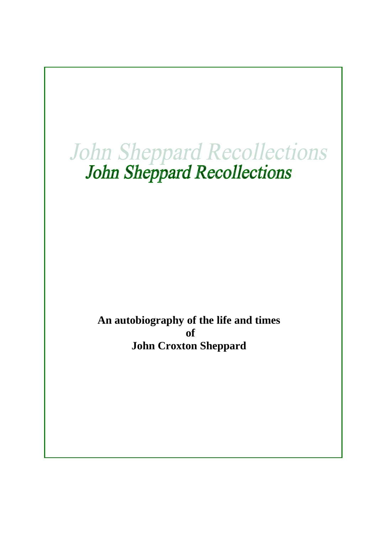# John Sheppard Recollections<br>John Sheppard Recollections

**An autobiography of the life and times of John Croxton Sheppard**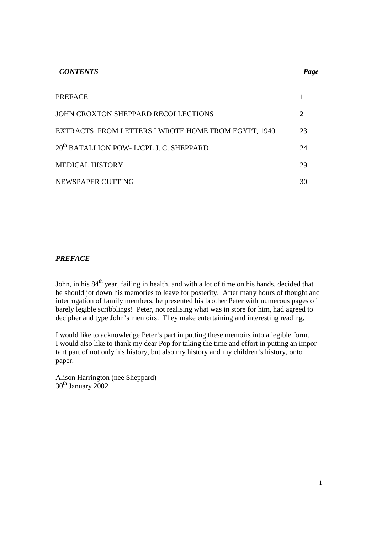| <b>CONTENTS</b>                                      | Page           |
|------------------------------------------------------|----------------|
| <b>PREFACE</b>                                       |                |
| JOHN CROXTON SHEPPARD RECOLLECTIONS                  | $\overline{2}$ |
| EXTRACTS FROM LETTERS I WROTE HOME FROM EGYPT, 1940  | 23             |
| 20 <sup>th</sup> BATALLION POW- L/CPL J. C. SHEPPARD | 24             |
| <b>MEDICAL HISTORY</b>                               | 29             |
| NEWSPAPER CUTTING                                    | 30             |

# *PREFACE*

John, in his 84<sup>th</sup> year, failing in health, and with a lot of time on his hands, decided that he should jot down his memories to leave for posterity. After many hours of thought and interrogation of family members, he presented his brother Peter with numerous pages of barely legible scribblings! Peter, not realising what was in store for him, had agreed to decipher and type John's memoirs. They make entertaining and interesting reading.

I would like to acknowledge Peter's part in putting these memoirs into a legible form. I would also like to thank my dear Pop for taking the time and effort in putting an important part of not only his history, but also my history and my children's history, onto paper.

Alison Harrington (nee Sheppard)  $30<sup>th</sup>$  January  $2002$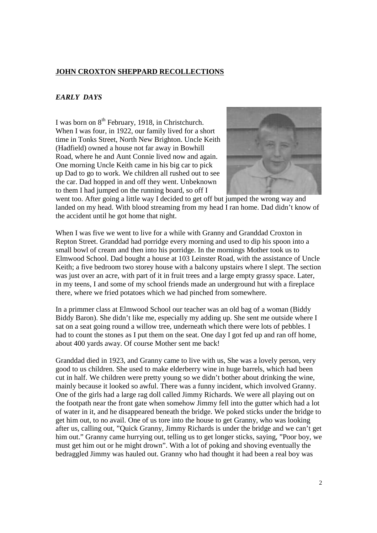# **JOHN CROXTON SHEPPARD RECOLLECTIONS**

### *EARLY DAYS*

I was born on  $8^{th}$  February, 1918, in Christchurch. When I was four, in 1922, our family lived for a short time in Tonks Street, North New Brighton. Uncle Keith (Hadfield) owned a house not far away in Bowhill Road, where he and Aunt Connie lived now and again. One morning Uncle Keith came in his big car to pick up Dad to go to work. We children all rushed out to see the car. Dad hopped in and off they went. Unbeknown to them I had jumped on the running board, so off I



went too. After going a little way I decided to get off but jumped the wrong way and landed on my head. With blood streaming from my head I ran home. Dad didn't know of the accident until he got home that night.

When I was five we went to live for a while with Granny and Granddad Croxton in Repton Street. Granddad had porridge every morning and used to dip his spoon into a small bowl of cream and then into his porridge. In the mornings Mother took us to Elmwood School. Dad bought a house at 103 Leinster Road, with the assistance of Uncle Keith; a five bedroom two storey house with a balcony upstairs where I slept. The section was just over an acre, with part of it in fruit trees and a large empty grassy space. Later, in my teens, I and some of my school friends made an underground hut with a fireplace there, where we fried potatoes which we had pinched from somewhere.

In a primmer class at Elmwood School our teacher was an old bag of a woman (Biddy Biddy Baron). She didn't like me, especially my adding up. She sent me outside where I sat on a seat going round a willow tree, underneath which there were lots of pebbles. I had to count the stones as I put them on the seat. One day I got fed up and ran off home, about 400 yards away. Of course Mother sent me back!

Granddad died in 1923, and Granny came to live with us, She was a lovely person, very good to us children. She used to make elderberry wine in huge barrels, which had been cut in half. We children were pretty young so we didn't bother about drinking the wine, mainly because it looked so awful. There was a funny incident, which involved Granny. One of the girls had a large rag doll called Jimmy Richards. We were all playing out on the footpath near the front gate when somehow Jimmy fell into the gutter which had a lot of water in it, and he disappeared beneath the bridge. We poked sticks under the bridge to get him out, to no avail. One of us tore into the house to get Granny, who was looking after us, calling out, "Quick Granny, Jimmy Richards is under the bridge and we can't get him out." Granny came hurrying out, telling us to get longer sticks, saying, "Poor boy, we must get him out or he might drown". With a lot of poking and shoving eventually the bedraggled Jimmy was hauled out. Granny who had thought it had been a real boy was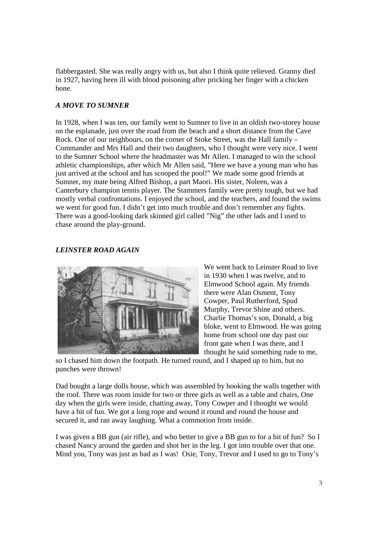flabbergasted. She was really angry with us, but also I think quite relieved. Granny died in 1927, having been ill with blood poisoning after pricking her finger with a chicken bone.

# *A MOVE TO SUMNER*

In 1928, when I was ten, our family went to Sumner to live in an oldish two-storey house on the esplanade, just over the road from the beach and a short distance from the Cave Rock. One of our neighbours, on the corner of Stoke Street, was the Hall family – Commander and Mrs Hall and their two daughters, who I thought were very nice. I went to the Sumner School where the headmaster was Mr Allen. I managed to win the school athletic championships, after which Mr Allen said, "Here we have a young man who has just arrived at the school and has scooped the pool!" We made some good friends at Sumner, my mate being Alfred Bishop, a part Maori. His sister, Noleen, was a Canterbury champion tennis player. The Stammers family were pretty tough, but we had mostly verbal confrontations. I enjoyed the school, and the teachers, and found the swims we went for good fun. I didn't get into much trouble and don't remember any fights. There was a good-looking dark skinned girl called "Nig" the other lads and I used to chase around the play-ground.

# *LEINSTER ROAD AGAIN*



We went back to Leinster Road to live in 1930 when I was twelve, and to Elmwood School again. My friends there were Alan Osment, Tony Cowper, Paul Rutherford, Spud Murphy, Trevor Shine and others. Charlie Thomas's son, Donald, a big bloke, went to Elmwood. He was going home from school one day past our front gate when I was there, and I thought he said something rude to me,

so I chased him down the footpath. He turned round, and I shaped up to him, but no punches were thrown!

Dad bought a large dolls house, which was assembled by hooking the walls together with the roof. There was room inside for two or three girls as well as a table and chairs, One day when the girls were inside, chatting away, Tony Cowper and I thought we would have a bit of fun. We got a long rope and wound it round and round the house and secured it, and ran away laughing. What a commotion from inside.

I was given a BB gun (air rifle), and who better to give a BB gun to for a bit of fun? So I chased Nancy around the garden and shot her in the leg. I got into trouble over that one. Mind you, Tony was just as bad as I was! Osie, Tony, Trevor and I used to go to Tony's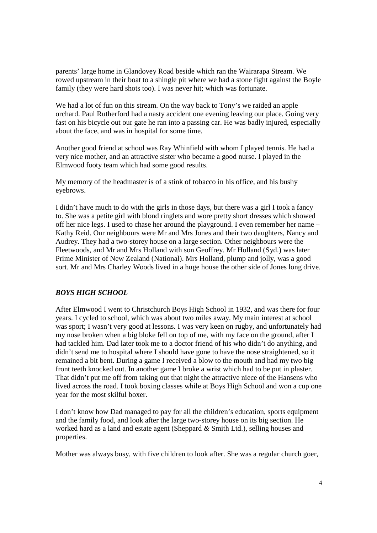parents' large home in Glandovey Road beside which ran the Wairarapa Stream. We rowed upstream in their boat to a shingle pit where we had a stone fight against the Boyle family (they were hard shots too). I was never hit; which was fortunate.

We had a lot of fun on this stream. On the way back to Tony's we raided an apple orchard. Paul Rutherford had a nasty accident one evening leaving our place. Going very fast on his bicycle out our gate he ran into a passing car. He was badly injured, especially about the face, and was in hospital for some time.

Another good friend at school was Ray Whinfield with whom I played tennis. He had a very nice mother, and an attractive sister who became a good nurse. I played in the Elmwood footy team which had some good results.

My memory of the headmaster is of a stink of tobacco in his office, and his bushy eyebrows.

I didn't have much to do with the girls in those days, but there was a girl I took a fancy to. She was a petite girl with blond ringlets and wore pretty short dresses which showed off her nice legs. I used to chase her around the playground. I even remember her name – Kathy Reid. Our neighbours were Mr and Mrs Jones and their two daughters, Nancy and Audrey. They had a two-storey house on a large section. Other neighbours were the Fleetwoods, and Mr and Mrs Holland with son Geoffrey. Mr Holland (Syd.) was later Prime Minister of New Zealand (National). Mrs Holland, plump and jolly, was a good sort. Mr and Mrs Charley Woods lived in a huge house the other side of Jones long drive.

#### *BOYS HIGH SCHOOL*

After Elmwood I went to Christchurch Boys High School in 1932, and was there for four years. I cycled to school, which was about two miles away. My main interest at school was sport; I wasn't very good at lessons. I was very keen on rugby, and unfortunately had my nose broken when a big bloke fell on top of me, with my face on the ground, after I had tackled him. Dad later took me to a doctor friend of his who didn't do anything, and didn't send me to hospital where I should have gone to have the nose straightened, so it remained a bit bent. During a game I received a blow to the mouth and had my two big front teeth knocked out. In another game I broke a wrist which had to be put in plaster. That didn't put me off from taking out that night the attractive niece of the Hansens who lived across the road. I took boxing classes while at Boys High School and won a cup one year for the most skilful boxer.

I don't know how Dad managed to pay for all the children's education, sports equipment and the family food, and look after the large two-storey house on its big section. He worked hard as a land and estate agent (Sheppard *&* Smith Ltd.), selling houses and properties.

Mother was always busy, with five children to look after. She was a regular church goer,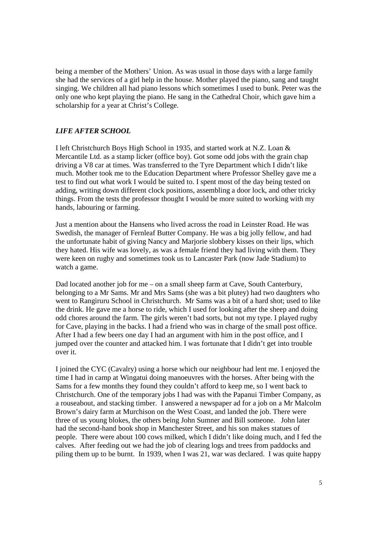being a member of the Mothers' Union. As was usual in those days with a large family she had the services of a girl help in the house. Mother played the piano, sang and taught singing. We children all had piano lessons which sometimes I used to bunk. Peter was the only one who kept playing the piano. He sang in the Cathedral Choir, which gave him a scholarship for a year at Christ's College.

### *LIFE AFTER SCHOOL*

I left Christchurch Boys High School in 1935, and started work at N.Z. Loan & Mercantile Ltd. as a stamp licker (office boy). Got some odd jobs with the grain chap driving a V8 car at times. Was transferred to the Tyre Department which I didn't like much. Mother took me to the Education Department where Professor Shelley gave me a test to find out what work I would be suited to. I spent most of the day being tested on adding, writing down different clock positions, assembling a door lock, and other tricky things. From the tests the professor thought I would be more suited to working with my hands, labouring or farming.

Just a mention about the Hansens who lived across the road in Leinster Road. He was Swedish, the manager of Fernleaf Butter Company. He was a big jolly fellow, and had the unfortunate habit of giving Nancy and Marjorie slobbery kisses on their lips, which they hated. His wife was lovely, as was a female friend they had living with them. They were keen on rugby and sometimes took us to Lancaster Park (now Jade Stadium) to watch a game.

Dad located another job for me – on a small sheep farm at Cave, South Canterbury, belonging to a Mr Sams. Mr and Mrs Sams (she was a bit plutey) had two daughters who went to Rangiruru School in Christchurch. Mr Sams was a bit of a hard shot; used to like the drink. He gave me a horse to ride, which I used for looking after the sheep and doing odd chores around the farm. The girls weren't bad sorts, but not my type. I played rugby for Cave, playing in the backs. I had a friend who was in charge of the small post office. After I had a few beers one day I had an argument with him in the post office, and I jumped over the counter and attacked him. I was fortunate that I didn't get into trouble over it.

I joined the CYC (Cavalry) using a horse which our neighbour had lent me. I enjoyed the time I had in camp at Wingatui doing manoeuvres with the horses. After being with the Sams for a few months they found they couldn't afford to keep me, so I went back to Christchurch. One of the temporary jobs I had was with the Papanui Timber Company, as a rouseabout, and stacking timber. I answered a newspaper ad for a job on a Mr Malcolm Brown's dairy farm at Murchison on the West Coast, and landed the job. There were three of us young blokes, the others being John Sumner and Bill someone. John later had the second-hand book shop in Manchester Street, and his son makes statues of people. There were about 100 cows milked, which I didn't like doing much, and I fed the calves. After feeding out we had the job of clearing logs and trees from paddocks and piling them up to be burnt. In 1939, when I was 21, war was declared. I was quite happy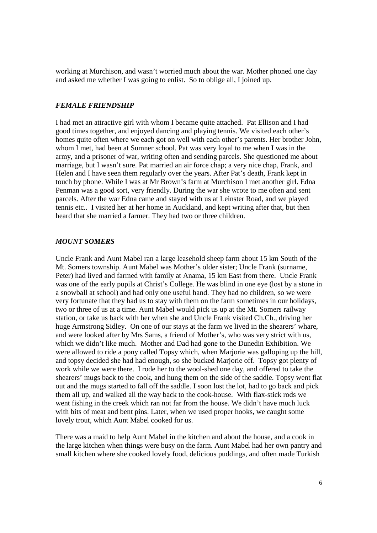working at Murchison, and wasn't worried much about the war. Mother phoned one day and asked me whether I was going to enlist. So to oblige all, I joined up.

#### *FEMALE FRIENDSHIP*

I had met an attractive girl with whom I became quite attached. Pat Ellison and I had good times together, and enjoyed dancing and playing tennis. We visited each other's homes quite often where we each got on well with each other's parents. Her brother John, whom I met, had been at Sumner school. Pat was very loyal to me when I was in the army, and a prisoner of war, writing often and sending parcels. She questioned me about marriage, but I wasn't sure. Pat married an air force chap; a very nice chap, Frank, and Helen and I have seen them regularly over the years. After Pat's death, Frank kept in touch by phone. While I was at Mr Brown's farm at Murchison I met another girl. Edna Penman was a good sort, very friendly. During the war she wrote to me often and sent parcels. After the war Edna came and stayed with us at Leinster Road, and we played tennis etc.. I visited her at her home in Auckland, and kept writing after that, but then heard that she married a farmer. They had two or three children.

#### *MOUNT SOMERS*

Uncle Frank and Aunt Mabel ran a large leasehold sheep farm about 15 km South of the Mt. Somers township. Aunt Mabel was Mother's older sister; Uncle Frank (surname, Peter) had lived and farmed with family at Anama, 15 km East from there. Uncle Frank was one of the early pupils at Christ's College. He was blind in one eye (lost by a stone in a snowball at school) and had only one useful hand. They had no children, so we were very fortunate that they had us to stay with them on the farm sometimes in our holidays, two or three of us at a time. Aunt Mabel would pick us up at the Mt. Somers railway station, or take us back with her when she and Uncle Frank visited Ch.Ch., driving her huge Armstrong Sidley. On one of our stays at the farm we lived in the shearers' whare, and were looked after by Mrs Sams, a friend of Mother's, who was very strict with us, which we didn't like much. Mother and Dad had gone to the Dunedin Exhibition. We were allowed to ride a pony called Topsy which, when Marjorie was galloping up the hill, and topsy decided she had had enough, so she bucked Marjorie off. Topsy got plenty of work while we were there. I rode her to the wool-shed one day, and offered to take the shearers' mugs back to the cook, and hung them on the side of the saddle. Topsy went flat out and the mugs started to fall off the saddle. I soon lost the lot, had to go back and pick them all up, and walked all the way back to the cook-house. With flax-stick rods we went fishing in the creek which ran not far from the house. We didn't have much luck with bits of meat and bent pins. Later, when we used proper hooks, we caught some lovely trout, which Aunt Mabel cooked for us.

There was a maid to help Aunt Mabel in the kitchen and about the house, and a cook in the large kitchen when things were busy on the farm. Aunt Mabel had her own pantry and small kitchen where she cooked lovely food, delicious puddings, and often made Turkish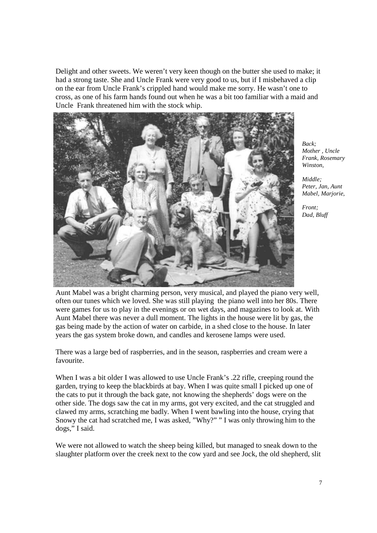Delight and other sweets. We weren't very keen though on the butter she used to make; it had a strong taste. She and Uncle Frank were very good to us, but if I misbehaved a clip on the ear from Uncle Frank's crippled hand would make me sorry. He wasn't one to cross, as one of his farm hands found out when he was a bit too familiar with a maid and Uncle Frank threatened him with the stock whip.



*Back; Mother , Uncle Frank, Rosemary Winston,* 

*Middle; Peter, Jan, Aunt Mabel, Marjorie,* 

*Front; Dad, Bluff* 

Aunt Mabel was a bright charming person, very musical, and played the piano very well, often our tunes which we loved. She was still playing the piano well into her 80s. There were games for us to play in the evenings or on wet days, and magazines to look at. With Aunt Mabel there was never a dull moment. The lights in the house were lit by gas, the gas being made by the action of water on carbide, in a shed close to the house. In later years the gas system broke down, and candles and kerosene lamps were used.

There was a large bed of raspberries, and in the season, raspberries and cream were a favourite.

When I was a bit older I was allowed to use Uncle Frank's .22 rifle, creeping round the garden, trying to keep the blackbirds at bay. When I was quite small I picked up one of the cats to put it through the back gate, not knowing the shepherds' dogs were on the other side. The dogs saw the cat in my arms, got very excited, and the cat struggled and clawed my arms, scratching me badly. When I went bawling into the house, crying that Snowy the cat had scratched me, I was asked, "Why?" " I was only throwing him to the dogs," I said.

We were not allowed to watch the sheep being killed, but managed to sneak down to the slaughter platform over the creek next to the cow yard and see Jock, the old shepherd, slit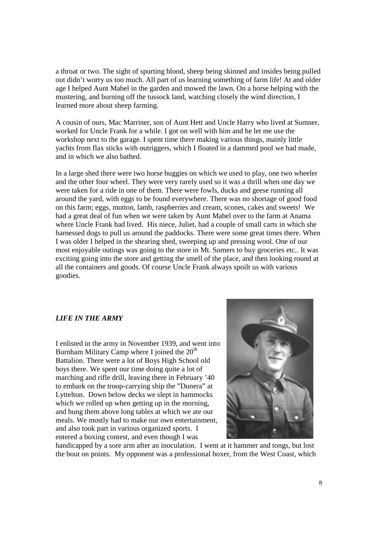a throat or two. The sight of spurting blood, sheep being skinned and insides being pulled out didn't worry us too much. All part of us learning something of farm life! At and older age I helped Aunt Mabel in the garden and mowed the lawn. On a horse helping with the mustering, and burning off the tussock land, watching closely the wind direction, I learned more about sheep farming.

A cousin of ours, Mac Marriner, son of Aunt Hett and Uncle Harry who lived at Sumner, worked for Uncle Frank for a while. I got on well with him and he let me use the workshop next to the garage. I spent time there making various things, mainly little yachts from flax sticks with outriggers, which I floated in a dammed pool we had made, and in which we also bathed.

In a large shed there were two horse buggies on which we used to play, one two wheeler and the other four wheel. They were very rarely used so it was a thrill when one day we were taken for a ride in one of them. There were fowls, ducks and geese running all around the yard, with eggs to be found everywhere. There was no shortage of good food on this farm; eggs, mutton, lamb, raspberries and cream, scones, cakes and sweets! We had a great deal of fun when we were taken by Aunt Mabel over to the farm at Anama where Uncle Frank had lived. His niece, Juliet, had a couple of small carts in which she harnessed dogs to pull us around the paddocks. There were some great times there. When I was older I helped in the shearing shed, sweeping up and pressing wool. One of our most enjoyable outings was going to the store in Mt. Somers to buy groceries etc.. It was exciting going into the store and getting the smell of the place, and then looking round at all the containers and goods. Of course Uncle Frank always spoilt us with various goodies.

#### *LIFE IN THE ARMY*

I enlisted in the army in November 1939, and went into Burnham Military Camp where I joined the  $20<sup>th</sup>$ Battalion. There were a lot of Boys High School old boys there. We spent our time doing quite a lot of marching and rifle drill, leaving there in February '40 to embark on the troop-carrying ship the "Dunera" at Lyttelton. Down below decks we slept in hammocks which we rolled up when getting up in the morning, and hung them above long tables at which we ate our meals. We mostly had to make our own entertainment, and also took part in various organized sports. I entered a boxing contest, and even though I was



handicapped by a sore arm after an inoculation. I went at it hammer and tongs, but lost the bout on points. My opponent was a professional boxer, from the West Coast, which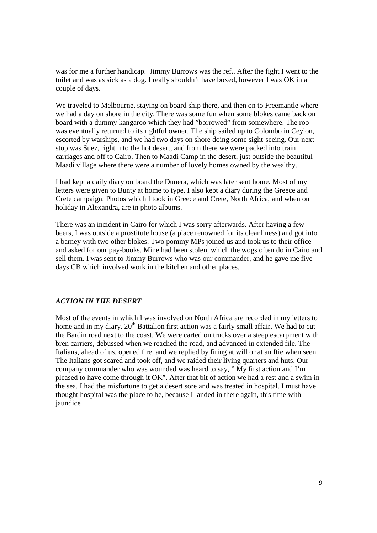was for me a further handicap. Jimmy Burrows was the ref.. After the fight I went to the toilet and was as sick as a dog. I really shouldn't have boxed, however I was OK in a couple of days.

We traveled to Melbourne, staying on board ship there, and then on to Freemantle where we had a day on shore in the city. There was some fun when some blokes came back on board with a dummy kangaroo which they had "borrowed" from somewhere. The roo was eventually returned to its rightful owner. The ship sailed up to Colombo in Ceylon, escorted by warships, and we had two days on shore doing some sight-seeing. Our next stop was Suez, right into the hot desert, and from there we were packed into train carriages and off to Cairo. Then to Maadi Camp in the desert, just outside the beautiful Maadi village where there were a number of lovely homes owned by the wealthy.

I had kept a daily diary on board the Dunera, which was later sent home. Most of my letters were given to Bunty at home to type. I also kept a diary during the Greece and Crete campaign. Photos which I took in Greece and Crete, North Africa, and when on holiday in Alexandra, are in photo albums.

There was an incident in Cairo for which I was sorry afterwards. After having a few beers, I was outside a prostitute house (a place renowned for its cleanliness) and got into a barney with two other blokes. Two pommy MPs joined us and took us to their office and asked for our pay-books. Mine had been stolen, which the wogs often do in Cairo and sell them. I was sent to Jimmy Burrows who was our commander, and he gave me five days CB which involved work in the kitchen and other places.

### *ACTION IN THE DESERT*

Most of the events in which I was involved on North Africa are recorded in my letters to home and in my diary.  $20<sup>th</sup>$  Battalion first action was a fairly small affair. We had to cut the Bardin road next to the coast. We were carted on trucks over a steep escarpment with bren carriers, debussed when we reached the road, and advanced in extended file. The Italians, ahead of us, opened fire, and we replied by firing at will or at an Itie when seen. The Italians got scared and took off, and we raided their living quarters and huts. Our company commander who was wounded was heard to say, " My first action and I'm pleased to have come through it OK". After that bit of action we had a rest and a swim in the sea. I had the misfortune to get a desert sore and was treated in hospital. I must have thought hospital was the place to be, because I landed in there again, this time with jaundice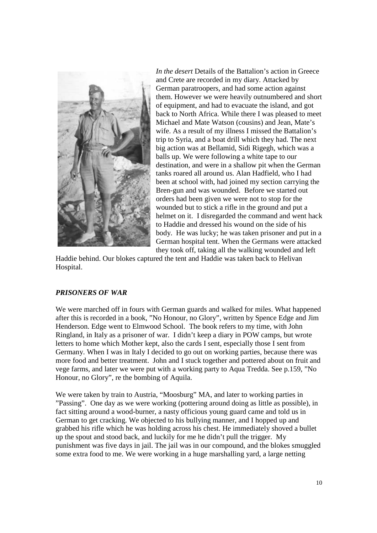

*In the desert* Details of the Battalion's action in Greece and Crete are recorded in my diary. Attacked by German paratroopers, and had some action against them. However we were heavily outnumbered and short of equipment, and had to evacuate the island, and got back to North Africa. While there I was pleased to meet Michael and Mate Watson (cousins) and Jean, Mate's wife. As a result of my illness I missed the Battalion's trip to Syria, and a boat drill which they had. The next big action was at Bellamid, Sidi Rigegh, which was a balls up. We were following a white tape to our destination, and were in a shallow pit when the German tanks roared all around us. Alan Hadfield, who I had been at school with, had joined my section carrying the Bren-gun and was wounded. Before we started out orders had been given we were not to stop for the wounded but to stick a rifle in the ground and put a helmet on it. I disregarded the command and went hack to Haddie and dressed his wound on the side of his body. He was lucky; he was taken prisoner and put in a German hospital tent. When the Germans were attacked they took off, taking all the walking wounded and left

Haddie behind. Our blokes captured the tent and Haddie was taken back to Helivan Hospital.

#### *PRISONERS OF WAR*

We were marched off in fours with German guards and walked for miles. What happened after this is recorded in a book, "No Honour, no Glory", written by Spence Edge and Jim Henderson. Edge went to Elmwood School. The book refers to my time, with John Ringland, in Italy as a prisoner of war. I didn't keep a diary in POW camps, but wrote letters to home which Mother kept, also the cards I sent, especially those I sent from Germany. When I was in Italy I decided to go out on working parties, because there was more food and better treatment. John and I stuck together and pottered about on fruit and vege farms, and later we were put with a working party to Aqua Tredda. See p.159, "No Honour, no Glory", re the bombing of Aquila.

We were taken by train to Austria, "Moosburg" MA, and later to working parties in "Passing". One day as we were working (pottering around doing as little as possible), in fact sitting around a wood-burner, a nasty officious young guard came and told us in German to get cracking. We objected to his bullying manner, and I hopped up and grabbed his rifle which he was holding across his chest. He immediately shoved a bullet up the spout and stood back, and luckily for me he didn't pull the trigger. My punishment was five days in jail. The jail was in our compound, and the blokes smuggled some extra food to me. We were working in a huge marshalling yard, a large netting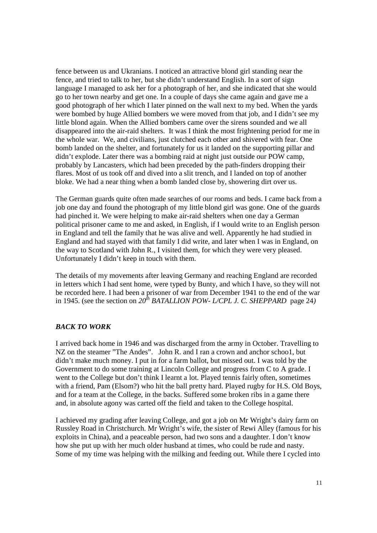fence between us and Ukranians. I noticed an attractive blond girl standing near the fence, and tried to talk to her, but she didn't understand English. In a sort of sign language I managed to ask her for a photograph of her, and she indicated that she would go to her town nearby and get one. In a couple of days she came again and gave me a good photograph of her which I later pinned on the wall next to my bed. When the yards were bombed by huge Allied bombers we were moved from that job, and I didn't see my little blond again. When the Allied bombers came over the sirens sounded and we all disappeared into the air-raid shelters. It was I think the most frightening period for me in the whole war. We, and civilians, just clutched each other and shivered with fear. One bomb landed on the shelter, and fortunately for us it landed on the supporting pillar and didn't explode. Later there was a bombing raid at night just outside our POW camp, probably by Lancasters, which had been preceded by the path-finders dropping their flares. Most of us took off and dived into a slit trench, and I landed on top of another bloke. We had a near thing when a bomb landed close by, showering dirt over us.

The German guards quite often made searches of our rooms and beds. I came back from a job one day and found the photograph of my little blond girl was gone. One of the guards had pinched it. We were helping to make air-raid shelters when one day a German political prisoner came to me and asked, in English, if I would write to an English person in England and tell the family that he was alive and well. Apparently he had studied in England and had stayed with that family I did write, and later when I was in England, on the way to Scotland with John R., I visited them, for which they were very pleased. Unfortunately I didn't keep in touch with them.

The details of my movements after leaving Germany and reaching England are recorded in letters which I had sent home, were typed by Bunty, and which I have, so they will not be recorded here. I had been a prisoner of war from December 1941 to the end of the war in 1945. (see the section on  $20^{th}$  *BATALLION POW- L/CPL J. C. SHEPPARD* page 24)

#### *BACK TO WORK*

I arrived back home in 1946 and was discharged from the army in October. Travelling to NZ on the steamer "The Andes". John R. and I ran a crown and anchor schoo1, but didn't make much money. I put in for a farm ballot, but missed out. I was told by the Government to do some training at Lincoln College and progress from C to A grade. I went to the College but don't think I learnt a lot. Played tennis fairly often, sometimes with a friend, Pam (Elsom?) who hit the ball pretty hard. Played rugby for H.S. Old Boys, and for a team at the College, in the backs. Suffered some broken ribs in a game there and, in absolute agony was carted off the field and taken to the College hospital.

I achieved my grading after leaving College, and got a job on Mr Wright's dairy farm on Russley Road in Christchurch. Mr Wright's wife, the sister of Rewi Alley (famous for his exploits in China), and a peaceable person, had two sons and a daughter. I don't know how she put up with her much older husband at times, who could be rude and nasty. Some of my time was helping with the milking and feeding out. While there I cycled into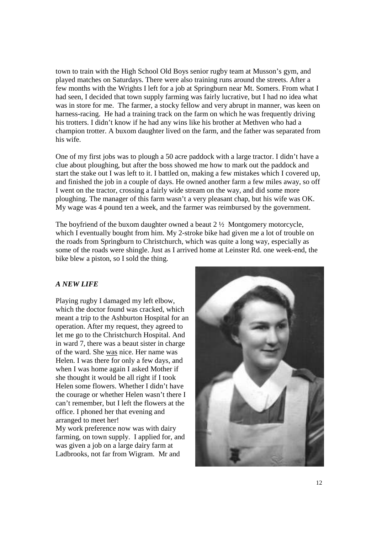town to train with the High School Old Boys senior rugby team at Musson's gym, and played matches on Saturdays. There were also training runs around the streets. After a few months with the Wrights I left for a job at Springburn near Mt. Somers. From what I had seen, I decided that town supply farming was fairly lucrative, but I had no idea what was in store for me. The farmer, a stocky fellow and very abrupt in manner, was keen on harness-racing. He had a training track on the farm on which he was frequently driving his trotters. I didn't know if he had any wins like his brother at Methven who had a champion trotter. A buxom daughter lived on the farm, and the father was separated from his wife.

One of my first jobs was to plough a 50 acre paddock with a large tractor. I didn't have a clue about ploughing, but after the boss showed me how to mark out the paddock and start the stake out I was left to it. I battled on, making a few mistakes which I covered up, and finished the job in a couple of days. He owned another farm a few miles away, so off I went on the tractor, crossing a fairly wide stream on the way, and did some more ploughing. The manager of this farm wasn't a very pleasant chap, but his wife was OK. My wage was 4 pound ten a week, and the farmer was reimbursed by the government.

The boyfriend of the buxom daughter owned a beaut 2 ½ Montgomery motorcycle, which I eventually bought from him. My 2-stroke bike had given me a lot of trouble on the roads from Springburn to Christchurch, which was quite a long way, especially as some of the roads were shingle. Just as I arrived home at Leinster Rd. one week-end, the bike blew a piston, so I sold the thing.

#### *A NEW LIFE*

Playing rugby I damaged my left elbow, which the doctor found was cracked, which meant a trip to the Ashburton Hospital for an operation. After my request, they agreed to let me go to the Christchurch Hospital. And in ward 7, there was a beaut sister in charge of the ward. She was nice. Her name was Helen. I was there for only a few days, and when I was home again I asked Mother if she thought it would be all right if I took Helen some flowers. Whether I didn't have the courage or whether Helen wasn't there I can't remember, but I left the flowers at the office. I phoned her that evening and arranged to meet her! My work preference now was with dairy

farming, on town supply. I applied for, and was given a job on a large dairy farm at Ladbrooks, not far from Wigram. Mr and

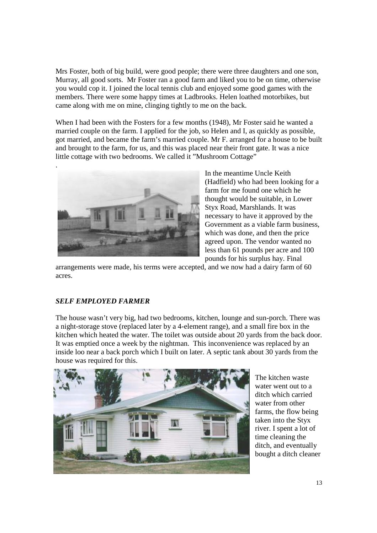Mrs Foster, both of big build, were good people; there were three daughters and one son, Murray, all good sorts. Mr Foster ran a good farm and liked you to be on time, otherwise you would cop it. I joined the local tennis club and enjoyed some good games with the members. There were some happy times at Ladbrooks. Helen loathed motorbikes, but came along with me on mine, clinging tightly to me on the back.

When I had been with the Fosters for a few months (1948), Mr Foster said he wanted a married couple on the farm. I applied for the job, so Helen and I, as quickly as possible, got married, and became the farm's married couple. Mr F. arranged for a house to be built and brought to the farm, for us, and this was placed near their front gate. It was a nice little cottage with two bedrooms. We called it "Mushroom Cottage"



In the meantime Uncle Keith (Hadfield) who had been looking for a farm for me found one which he thought would be suitable, in Lower Styx Road, Marshlands. It was necessary to have it approved by the Government as a viable farm business, which was done, and then the price agreed upon. The vendor wanted no less than 61 pounds per acre and 100 pounds for his surplus hay. Final

arrangements were made, his terms were accepted, and we now had a dairy farm of 60 acres.

# *SELF EMPLOYED FARMER*

The house wasn't very big, had two bedrooms, kitchen, lounge and sun-porch. There was a night-storage stove (replaced later by a 4-element range), and a small fire box in the kitchen which heated the water. The toilet was outside about 20 yards from the back door. It was emptied once a week by the nightman. This inconvenience was replaced by an inside loo near a back porch which I built on later. A septic tank about 30 yards from the house was required for this.



The kitchen waste water went out to a ditch which carried water from other farms, the flow being taken into the Styx river. I spent a lot of time cleaning the ditch, and eventually bought a ditch cleaner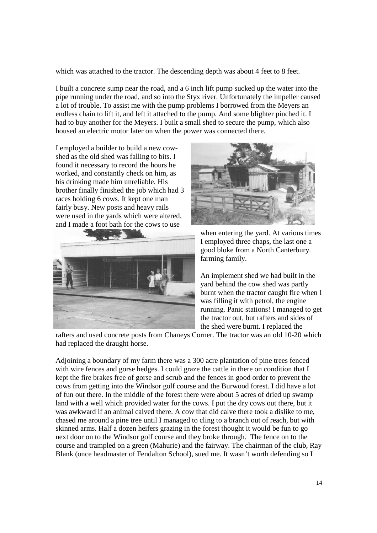which was attached to the tractor. The descending depth was about 4 feet to 8 feet.

I built a concrete sump near the road, and a 6 inch lift pump sucked up the water into the pipe running under the road, and so into the Styx river. Unfortunately the impeller caused a lot of trouble. To assist me with the pump problems I borrowed from the Meyers an endless chain to lift it, and left it attached to the pump. And some blighter pinched it. I had to buy another for the Meyers. I built a small shed to secure the pump, which also housed an electric motor later on when the power was connected there.

I employed a builder to build a new cowshed as the old shed was falling to bits. I found it necessary to record the hours he worked, and constantly check on him, as his drinking made him unreliable. His brother finally finished the job which had 3 races holding 6 cows. It kept one man fairly busy. New posts and heavy rails were used in the yards which were altered, and I made a foot bath for the cows to use





when entering the yard. At various times I employed three chaps, the last one a good bloke from a North Canterbury. farming family.

An implement shed we had built in the yard behind the cow shed was partly burnt when the tractor caught fire when I was filling it with petrol, the engine running. Panic stations! I managed to get the tractor out, but rafters and sides of the shed were burnt. I replaced the

rafters and used concrete posts from Chaneys Corner. The tractor was an old 10-20 which had replaced the draught horse.

Adjoining a boundary of my farm there was a 300 acre plantation of pine trees fenced with wire fences and gorse hedges. I could graze the cattle in there on condition that I kept the fire brakes free of gorse and scrub and the fences in good order to prevent the cows from getting into the Windsor golf course and the Burwood forest. I did have a lot of fun out there. In the middle of the forest there were about 5 acres of dried up swamp land with a well which provided water for the cows. I put the dry cows out there, but it was awkward if an animal calved there. A cow that did calve there took a dislike to me, chased me around a pine tree until I managed to cling to a branch out of reach, but with skinned arms. Half a dozen heifers grazing in the forest thought it would be fun to go next door on to the Windsor golf course and they broke through. The fence on to the course and trampled on a green (Mahurie) and the fairway. The chairman of the club, Ray Blank (once headmaster of Fendalton School), sued me. It wasn't worth defending so I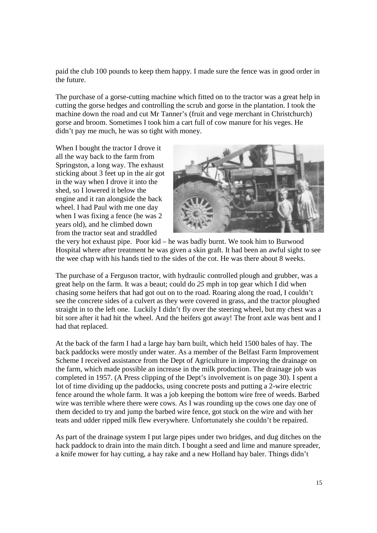paid the club 100 pounds to keep them happy. I made sure the fence was in good order in the future.

The purchase of a gorse-cutting machine which fitted on to the tractor was a great help in cutting the gorse hedges and controlling the scrub and gorse in the plantation. I took the machine down the road and cut Mr Tanner's (fruit and vege merchant in Christchurch) gorse and broom. Sometimes I took him a cart full of cow manure for his veges. He didn't pay me much, he was so tight with money.

When I bought the tractor I drove it all the way back to the farm from Springston, a long way. The exhaust sticking about 3 feet up in the air got in the way when I drove it into the shed, so I lowered it below the engine and it ran alongside the back wheel. I had Paul with me one day when I was fixing a fence (he was 2 years old), and he climbed down from the tractor seat and straddled



the very hot exhaust pipe. Poor kid – he was badly burnt. We took him to Burwood Hospital where after treatment he was given a skin graft. It had been an awful sight to see the wee chap with his hands tied to the sides of the cot. He was there about 8 weeks.

The purchase of a Ferguson tractor, with hydraulic controlled plough and grubber, was a great help on the farm. It was a beaut; could do *25* mph in top gear which I did when chasing some heifers that had got out on to the road. Roaring along the road, I couldn't see the concrete sides of a culvert as they were covered in grass, and the tractor ploughed straight in to the left one. Luckily I didn't fly over the steering wheel, but my chest was a bit sore after it had hit the wheel. And the heifers got away! The front axle was bent and I had that replaced.

At the back of the farm I had a large hay barn built, which held 1500 bales of hay. The back paddocks were mostly under water. As a member of the Belfast Farm Improvement Scheme I received assistance from the Dept of Agriculture in improving the drainage on the farm, which made possible an increase in the milk production. The drainage job was completed in 1957. (A Press clipping of the Dept's involvement is on page 30). I spent a lot of time dividing up the paddocks, using concrete posts and putting a 2-wire electric fence around the whole farm. It was a job keeping the bottom wire free of weeds. Barbed wire was terrible where there were cows. As I was rounding up the cows one day one of them decided to try and jump the barbed wire fence, got stuck on the wire and with her teats and udder ripped milk flew everywhere. Unfortunately she couldn't be repaired.

As part of the drainage system I put large pipes under two bridges, and dug ditches on the hack paddock to drain into the main ditch. I bought a seed and lime and manure spreader, a knife mower for hay cutting, a hay rake and a new Holland hay baler. Things didn't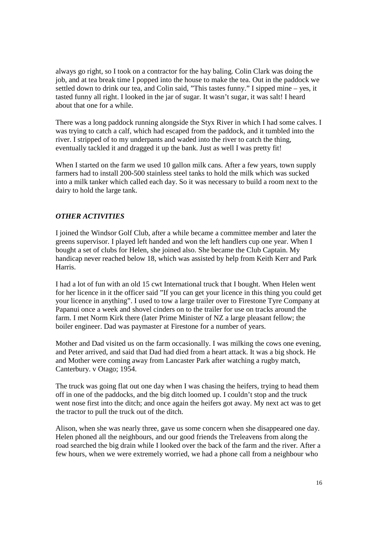always go right, so I took on a contractor for the hay baling. Colin Clark was doing the job, and at tea break time I popped into the house to make the tea. Out in the paddock we settled down to drink our tea, and Colin said, "This tastes funny." I sipped mine – yes, it tasted funny all right. I looked in the jar of sugar. It wasn't sugar, it was salt! I heard about that one for a while.

There was a long paddock running alongside the Styx River in which I had some calves. I was trying to catch a calf, which had escaped from the paddock, and it tumbled into the river. I stripped of to my underpants and waded into the river to catch the thing, eventually tackled it and dragged it up the bank. Just as well I was pretty fit!

When I started on the farm we used 10 gallon milk cans. After a few years, town supply farmers had to install 200-500 stainless steel tanks to hold the milk which was sucked into a milk tanker which called each day. So it was necessary to build a room next to the dairy to hold the large tank.

# *OTHER ACTIVITIES*

I joined the Windsor Golf Club, after a while became a committee member and later the greens supervisor. I played left handed and won the left handlers cup one year. When I bought a set of clubs for Helen, she joined also. She became the Club Captain. My handicap never reached below 18, which was assisted by help from Keith Kerr and Park Harris.

I had a lot of fun with an old 15 cwt International truck that I bought. When Helen went for her licence in it the officer said "If you can get your licence in this thing you could get your licence in anything". I used to tow a large trailer over to Firestone Tyre Company at Papanui once a week and shovel cinders on to the trailer for use on tracks around the farm. I met Norm Kirk there (later Prime Minister of NZ a large pleasant fellow; the boiler engineer. Dad was paymaster at Firestone for a number of years.

Mother and Dad visited us on the farm occasionally. I was milking the cows one evening, and Peter arrived, and said that Dad had died from a heart attack. It was a big shock. He and Mother were coming away from Lancaster Park after watching a rugby match, Canterbury. v Otago; 1954.

The truck was going flat out one day when I was chasing the heifers, trying to head them off in one of the paddocks, and the big ditch loomed up. I couldn't stop and the truck went nose first into the ditch; and once again the heifers got away. My next act was to get the tractor to pull the truck out of the ditch.

Alison, when she was nearly three, gave us some concern when she disappeared one day. Helen phoned all the neighbours, and our good friends the Treleavens from along the road searched the big drain while I looked over the back of the farm and the river. After a few hours, when we were extremely worried, we had a phone call from a neighbour who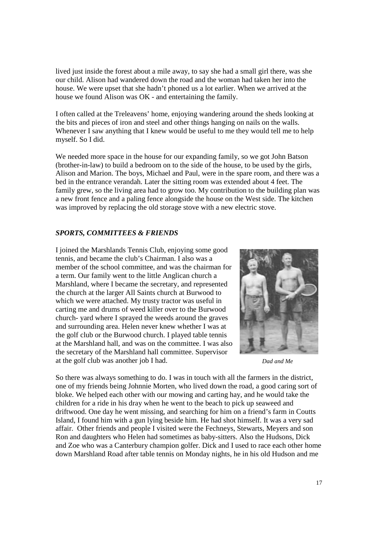lived just inside the forest about a mile away, to say she had a small girl there, was she our child. Alison had wandered down the road and the woman had taken her into the house. We were upset that she hadn't phoned us a lot earlier. When we arrived at the house we found Alison was OK - and entertaining the family.

I often called at the Treleavens' home, enjoying wandering around the sheds looking at the bits and pieces of iron and steel and other things hanging on nails on the walls. Whenever I saw anything that I knew would be useful to me they would tell me to help myself. So I did.

We needed more space in the house for our expanding family, so we got John Batson (brother-in-law) to build a bedroom on to the side of the house, to be used by the girls, Alison and Marion. The boys, Michael and Paul, were in the spare room, and there was a bed in the entrance verandah. Later the sitting room was extended about 4 feet. The family grew, so the living area had to grow too. My contribution to the building plan was a new front fence and a paling fence alongside the house on the West side. The kitchen was improved by replacing the old storage stove with a new electric stove.

#### *SPORTS, COMMITTEES & FRIENDS*

I joined the Marshlands Tennis Club, enjoying some good tennis, and became the club's Chairman. I also was a member of the school committee, and was the chairman for a term. Our family went to the little Anglican church a Marshland, where I became the secretary, and represented the church at the larger All Saints church at Burwood to which we were attached. My trusty tractor was useful in carting me and drums of weed killer over to the Burwood church- yard where I sprayed the weeds around the graves and surrounding area. Helen never knew whether I was at the golf club or the Burwood church. I played table tennis at the Marshland hall, and was on the committee. I was also the secretary of the Marshland hall committee. Supervisor at the golf club was another job I had.



*Dad and Me* 

So there was always something to do. I was in touch with all the farmers in the district, one of my friends being Johnnie Morten, who lived down the road, a good caring sort of bloke. We helped each other with our mowing and carting hay, and he would take the children for a ride in his dray when he went to the beach to pick up seaweed and driftwood. One day he went missing, and searching for him on a friend's farm in Coutts Island, I found him with a gun lying beside him. He had shot himself. It was a very sad affair. Other friends and people I visited were the Fechneys, Stewarts, Meyers and son Ron and daughters who Helen had sometimes as baby-sitters. Also the Hudsons, Dick and Zoe who was a Canterbury champion golfer. Dick and I used to race each other home down Marshland Road after table tennis on Monday nights, he in his old Hudson and me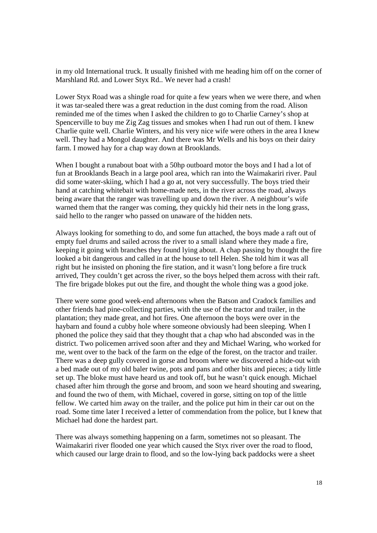in my old International truck. It usually finished with me heading him off on the corner of Marshland Rd. and Lower Styx Rd.. We never had a crash!

Lower Styx Road was a shingle road for quite a few years when we were there, and when it was tar-sealed there was a great reduction in the dust coming from the road. Alison reminded me of the times when I asked the children to go to Charlie Carney's shop at Spencerville to buy me Zig Zag tissues and smokes when I had run out of them. I knew Charlie quite well. Charlie Winters, and his very nice wife were others in the area I knew well. They had a Mongol daughter. And there was Mr Wells and his boys on their dairy farm. I mowed hay for a chap way down at Brooklands.

When I bought a runabout boat with a 50hp outboard motor the boys and I had a lot of fun at Brooklands Beach in a large pool area, which ran into the Waimakariri river. Paul did some water-skiing, which I had a go at, not very successfully. The boys tried their hand at catching whitebait with home-made nets, in the river across the road, always being aware that the ranger was travelling up and down the river. A neighbour's wife warned them that the ranger was coming, they quickly hid their nets in the long grass, said hello to the ranger who passed on unaware of the hidden nets.

Always looking for something to do, and some fun attached, the boys made a raft out of empty fuel drums and sailed across the river to a small island where they made a fire, keeping it going with branches they found lying about. A chap passing by thought the fire looked a bit dangerous and called in at the house to tell Helen. She told him it was all right but he insisted on phoning the fire station, and it wasn't long before a fire truck arrived, They couldn't get across the river, so the boys helped them across with their raft. The fire brigade blokes put out the fire, and thought the whole thing was a good joke.

There were some good week-end afternoons when the Batson and Cradock families and other friends had pine-collecting parties, with the use of the tractor and trailer, in the plantation; they made great, and hot fires. One afternoon the boys were over in the haybarn and found a cubby hole where someone obviously had been sleeping. When I phoned the police they said that they thought that a chap who had absconded was in the district. Two policemen arrived soon after and they and Michael Waring, who worked for me, went over to the back of the farm on the edge of the forest, on the tractor and trailer. There was a deep gully covered in gorse and broom where we discovered a hide-out with a bed made out of my old baler twine, pots and pans and other bits and pieces; a tidy little set up. The bloke must have heard us and took off, but he wasn't quick enough. Michael chased after him through the gorse and broom, and soon we heard shouting and swearing, and found the two of them, with Michael, covered in gorse, sitting on top of the little fellow. We carted him away on the trailer, and the police put him in their car out on the road. Some time later I received a letter of commendation from the police, but I knew that Michael had done the hardest part.

There was always something happening on a farm, sometimes not so pleasant. The Waimakariri river flooded one year which caused the Styx river over the road to flood, which caused our large drain to flood, and so the low-lying back paddocks were a sheet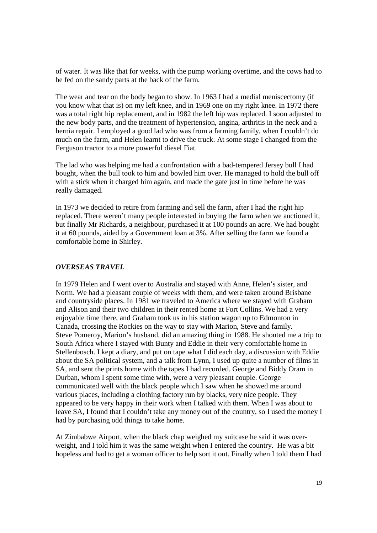of water. It was like that for weeks, with the pump working overtime, and the cows had to be fed on the sandy parts at the back of the farm.

The wear and tear on the body began to show. In 1963 I had a medial meniscectomy (if you know what that is) on my left knee, and in 1969 one on my right knee. In 1972 there was a total right hip replacement, and in 1982 the left hip was replaced. I soon adjusted to the new body parts, and the treatment of hypertension, angina, arthritis in the neck and a hernia repair. I employed a good lad who was from a farming family, when I couldn't do much on the farm, and Helen learnt to drive the truck. At some stage I changed from the Ferguson tractor to a more powerful diesel Fiat.

The lad who was helping me had a confrontation with a bad-tempered Jersey bull I had bought, when the bull took to him and bowled him over. He managed to hold the bull off with a stick when it charged him again, and made the gate just in time before he was really damaged.

In 1973 we decided to retire from farming and sell the farm, after I had the right hip replaced. There weren't many people interested in buying the farm when we auctioned it, but finally Mr Richards, a neighbour, purchased it at 100 pounds an acre. We had bought it at 60 pounds, aided by a Government loan at 3%. After selling the farm we found a comfortable home in Shirley.

#### *OVERSEAS TRAVEL*

In 1979 Helen and I went over to Australia and stayed with Anne, Helen's sister, and Norm. We had a pleasant couple of weeks with them, and were taken around Brisbane and countryside places. In 1981 we traveled to America where we stayed with Graham and Alison and their two children in their rented home at Fort Collins. We had a very enjoyable time there, and Graham took us in his station wagon up to Edmonton in Canada, crossing the Rockies on the way to stay with Marion, Steve and family. Steve Pomeroy, Marion's husband, did an amazing thing in 1988. He shouted me a trip to South Africa where I stayed with Bunty and Eddie in their very comfortable home in Stellenbosch. I kept a diary, and put on tape what I did each day, a discussion with Eddie about the SA political system, and a talk from Lynn, I used up quite a number of films in SA, and sent the prints home with the tapes I had recorded. George and Biddy Oram in Durban, whom I spent some time with, were a very pleasant couple. George communicated well with the black people which I saw when he showed me around various places, including a clothing factory run by blacks, very nice people. They appeared to be very happy in their work when I talked with them. When I was about to leave SA, I found that I couldn't take any money out of the country, so I used the money I had by purchasing odd things to take home.

At Zimbabwe Airport, when the black chap weighed my suitcase he said it was overweight, and I told him it was the same weight when I entered the country. He was a bit hopeless and had to get a woman officer to help sort it out. Finally when I told them I had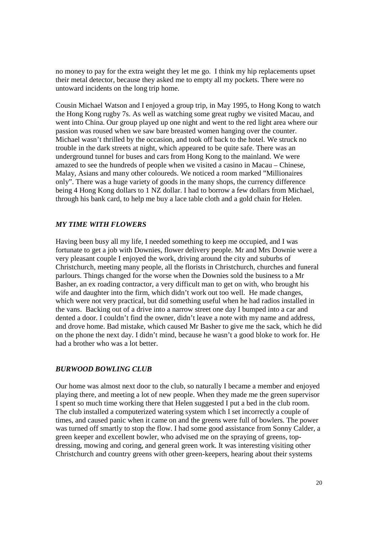no money to pay for the extra weight they let me go. I think my hip replacements upset their metal detector, because they asked me to empty all my pockets. There were no untoward incidents on the long trip home.

Cousin Michael Watson and I enjoyed a group trip, in May 1995, to Hong Kong to watch the Hong Kong rugby 7s. As well as watching some great rugby we visited Macau, and went into China. Our group played up one night and went to the red light area where our passion was roused when we saw bare breasted women hanging over the counter. Michael wasn't thrilled by the occasion, and took off back to the hotel. We struck no trouble in the dark streets at night, which appeared to be quite safe. There was an underground tunnel for buses and cars from Hong Kong to the mainland. We were amazed to see the hundreds of people when we visited a casino in Macau – Chinese, Malay, Asians and many other coloureds. We noticed a room marked "Millionaires only". There was a huge variety of goods in the many shops, the currency difference being 4 Hong Kong dollars to 1 NZ dollar. I had to borrow a few dollars from Michael, through his bank card, to help me buy a lace table cloth and a gold chain for Helen.

#### *MY TIME WITH FLOWERS*

Having been busy all my life, I needed something to keep me occupied, and I was fortunate to get a job with Downies, flower delivery people. Mr and Mrs Downie were a very pleasant couple I enjoyed the work, driving around the city and suburbs of Christchurch, meeting many people, all the florists in Christchurch, churches and funeral parlours. Things changed for the worse when the Downies sold the business to a Mr Basher, an ex roading contractor, a very difficult man to get on with, who brought his wife and daughter into the firm, which didn't work out too well. He made changes, which were not very practical, but did something useful when he had radios installed in the vans. Backing out of a drive into a narrow street one day I bumped into a car and dented a door. I couldn't find the owner, didn't leave a note with my name and address, and drove home. Bad mistake, which caused Mr Basher to give me the sack, which he did on the phone the next day. I didn't mind, because he wasn't a good bloke to work for. He had a brother who was a lot better.

#### *BURWOOD BOWLING CLUB*

Our home was almost next door to the club, so naturally I became a member and enjoyed playing there, and meeting a lot of new people. When they made me the green supervisor I spent so much time working there that Helen suggested I put a bed in the club room. The club installed a computerized watering system which I set incorrectly a couple of times, and caused panic when it came on and the greens were full of bowlers. The power was turned off smartly to stop the flow. I had some good assistance from Sonny Calder, a green keeper and excellent bowler, who advised me on the spraying of greens, topdressing, mowing and coring, and general green work. It was interesting visiting other Christchurch and country greens with other green-keepers, hearing about their systems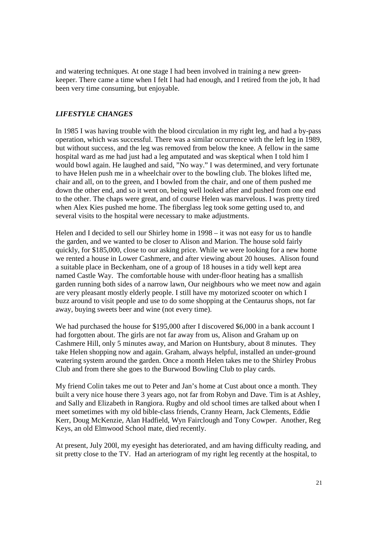and watering techniques. At one stage I had been involved in training a new greenkeeper. There came a time when I felt I had had enough, and I retired from the job, It had been very time consuming, but enjoyable.

#### *LIFESTYLE CHANGES*

In 1985 I was having trouble with the blood circulation in my right leg, and had a by-pass operation, which was successful. There was a similar occurrence with the left leg in 1989, but without success, and the leg was removed from below the knee. A fellow in the same hospital ward as me had just had a leg amputated and was skeptical when I told him I would bowl again. He laughed and said, "No way." I was determined, and very fortunate to have Helen push me in a wheelchair over to the bowling club. The blokes lifted me, chair and all, on to the green, and I bowled from the chair, and one of them pushed me down the other end, and so it went on, being well looked after and pushed from one end to the other. The chaps were great, and of course Helen was marvelous. I was pretty tired when Alex Kies pushed me home. The fiberglass leg took some getting used to, and several visits to the hospital were necessary to make adjustments.

Helen and I decided to sell our Shirley home in 1998 – it was not easy for us to handle the garden, and we wanted to be closer to Alison and Marion. The house sold fairly quickly, for \$185,000, close to our asking price. While we were looking for a new home we rented a house in Lower Cashmere, and after viewing about 20 houses. Alison found a suitable place in Beckenham, one of a group of 18 houses in a tidy well kept area named Castle Way. The comfortable house with under-floor heating has a smallish garden running both sides of a narrow lawn, Our neighbours who we meet now and again are very pleasant mostly elderly people. I still have my motorized scooter on which I buzz around to visit people and use to do some shopping at the Centaurus shops, not far away, buying sweets beer and wine (not every time).

We had purchased the house for \$195,000 after I discovered \$6,000 in a bank account I had forgotten about. The girls are not far away from us, Alison and Graham up on Cashmere Hill, only 5 minutes away, and Marion on Huntsbury, about 8 minutes. They take Helen shopping now and again. Graham, always helpful, installed an under-ground watering system around the garden. Once a month Helen takes me to the Shirley Probus Club and from there she goes to the Burwood Bowling Club to play cards.

My friend Colin takes me out to Peter and Jan's home at Cust about once a month. They built a very nice house there 3 years ago, not far from Robyn and Dave. Tim is at Ashley, and Sally and Elizabeth in Rangiora. Rugby and old school times are talked about when I meet sometimes with my old bible-class friends, Cranny Hearn, Jack Clements, Eddie Kerr, Doug McKenzie, Alan Hadfield, Wyn Fairclough and Tony Cowper. Another, Reg Keys, an old Elmwood School mate, died recently.

At present, July 200l, my eyesight has deteriorated, and am having difficulty reading, and sit pretty close to the TV. Had an arteriogram of my right leg recently at the hospital, to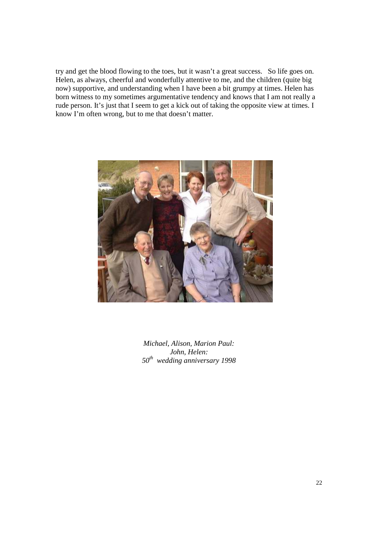try and get the blood flowing to the toes, but it wasn't a great success. So life goes on. Helen, as always, cheerful and wonderfully attentive to me, and the children (quite big now) supportive, and understanding when I have been a bit grumpy at times. Helen has born witness to my sometimes argumentative tendency and knows that I am not really a rude person. It's just that I seem to get a kick out of taking the opposite view at times. I know I'm often wrong, but to me that doesn't matter.



*Michael, Alison, Marion Paul: John, Helen: 50th wedding anniversary 1998*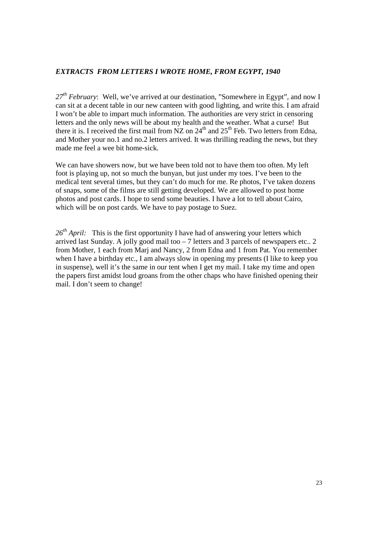# *EXTRACTS FROM LETTERS I WROTE HOME, FROM EGYPT, 1940*

*27th February*: Well, we've arrived at our destination, "Somewhere in Egypt", and now I can sit at a decent table in our new canteen with good lighting, and write this. I am afraid I won't be able to impart much information. The authorities are very strict in censoring letters and the only news will be about my health and the weather. What a curse! But there it is. I received the first mail from  $NZ$  on  $24<sup>th</sup>$  and  $25<sup>th</sup>$  Feb. Two letters from Edna, and Mother your no.1 and no.2 letters arrived. It was thrilling reading the news, but they made me feel a wee bit home-sick.

We can have showers now, but we have been told not to have them too often. My left foot is playing up, not so much the bunyan, but just under my toes. I've been to the medical tent several times, but they can't do much for me. Re photos, I've taken dozens of snaps, some of the films are still getting developed. We are allowed to post home photos and post cards. I hope to send some beauties. I have a lot to tell about Cairo, which will be on post cards. We have to pay postage to Suez.

26<sup>th</sup> April: This is the first opportunity I have had of answering your letters which arrived last Sunday. A jolly good mail too – 7 letters and 3 parcels of newspapers etc.. 2 from Mother, 1 each from Marj and Nancy, 2 from Edna and 1 from Pat. You remember when I have a birthday etc., I am always slow in opening my presents (I like to keep you in suspense), well it's the same in our tent when I get my mail. I take my time and open the papers first amidst loud groans from the other chaps who have finished opening their mail. I don't seem to change!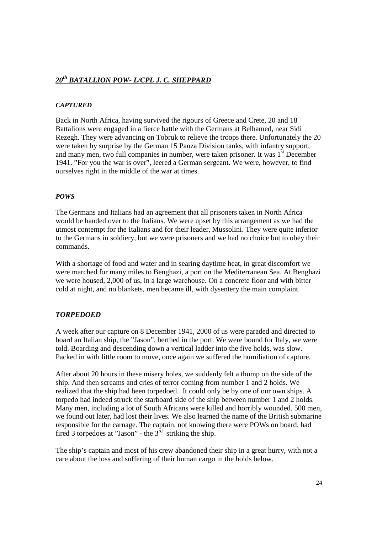# *20th BATALLION POW- L/CPL J. C. SHEPPARD*

#### *CAPTURED*

Back in North Africa, having survived the rigours of Greece and Crete, 20 and 18 Battalions were engaged in a fierce battle with the Germans at Belhamed, near Sidi Rezegh. They were advancing on Tobruk to relieve the troops there. Unfortunately the 20 were taken by surprise by the German 15 Panza Division tanks, with infantry support, and many men, two full companies in number, were taken prisoner. It was 1<sup>st</sup> December 1941. "For you the war is over", leered a German sergeant. We were, however, to find ourselves right in the middle of the war at times.

#### *POWS*

The Germans and Italians had an agreement that all prisoners taken in North Africa would be handed over to the Italians. We were upset by this arrangement as we had the utmost contempt for the Italians and for their leader, Mussolini. They were quite inferior to the Germans in soldiery, but we were prisoners and we had no choice but to obey their commands.

With a shortage of food and water and in searing daytime heat, in great discomfort we were marched for many miles to Benghazi, a port on the Mediterranean Sea. At Benghazi we were housed, 2,000 of us, in a large warehouse. On a concrete floor and with bitter cold at night, and no blankets, men became ill, with dysentery the main complaint.

#### *TORPEDOED*

A week after our capture on 8 December 1941, 2000 of us were paraded and directed to board an Italian ship, the "Jason", berthed in the port. We were bound for Italy, we were told. Boarding and descending down a vertical ladder into the five holds, was slow. Packed in with little room to move, once again we suffered the humiliation of capture.

After about 20 hours in these misery holes, we suddenly felt a thump on the side of the ship. And then screams and cries of terror coming from number 1 and 2 holds. We realized that the ship had been torpedoed. It could only be by one of our own ships. A torpedo had indeed struck the starboard side of the ship between number 1 and 2 holds. Many men, including a lot of South Africans were killed and horribly wounded. 500 men, we found out later, had lost their lives. We also learned the name of the British submarine responsible for the carnage. The captain, not knowing there were POWs on board, had fired 3 torpedoes at "Jason" - the  $3<sup>rd</sup>$  striking the ship.

The ship's captain and most of his crew abandoned their ship in a great hurry, with not a care about the loss and suffering of their human cargo in the holds below.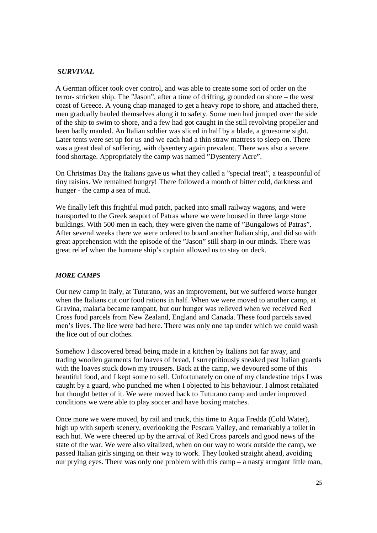#### *SURVIVAL*

A German officer took over control, and was able to create some sort of order on the terror- stricken ship. The "Jason", after a time of drifting, grounded on shore – the west coast of Greece. A young chap managed to get a heavy rope to shore, and attached there, men gradually hauled themselves along it to safety. Some men had jumped over the side of the ship to swim to shore, and a few had got caught in the still revolving propeller and been badly mauled. An Italian soldier was sliced in half by a blade, a gruesome sight. Later tents were set up for us and we each had a thin straw mattress to sleep on. There was a great deal of suffering, with dysentery again prevalent. There was also a severe food shortage. Appropriately the camp was named "Dysentery Acre".

On Christmas Day the Italians gave us what they called a "special treat", a teaspoonful of tiny raisins. We remained hungry! There followed a month of bitter cold, darkness and hunger - the camp a sea of mud.

We finally left this frightful mud patch, packed into small railway wagons, and were transported to the Greek seaport of Patras where we were housed in three large stone buildings. With 500 men in each, they were given the name of "Bungalows of Patras". After several weeks there we were ordered to board another Italian ship, and did so with great apprehension with the episode of the "Jason" still sharp in our minds. There was great relief when the humane ship's captain allowed us to stay on deck.

#### *MORE CAMPS*

Our new camp in Italy, at Tuturano, was an improvement, but we suffered worse hunger when the Italians cut our food rations in half. When we were moved to another camp, at Gravina, malaria became rampant, but our hunger was relieved when we received Red Cross food parcels from New Zealand, England and Canada. These food parcels saved men's lives. The lice were bad here. There was only one tap under which we could wash the lice out of our clothes.

Somehow I discovered bread being made in a kitchen by Italians not far away, and trading woollen garments for loaves of bread, I surreptitiously sneaked past Italian guards with the loaves stuck down my trousers. Back at the camp, we devoured some of this beautiful food, and I kept some to sell. Unfortunately on one of my clandestine trips I was caught by a guard, who punched me when I objected to his behaviour. I almost retaliated but thought better of it. We were moved back to Tuturano camp and under improved conditions we were able to play soccer and have boxing matches.

Once more we were moved, by rail and truck, this time to Aqua Fredda (Cold Water), high up with superb scenery, overlooking the Pescara Valley, and remarkably a toilet in each hut. We were cheered up by the arrival of Red Cross parcels and good news of the state of the war. We were also vitalized, when on our way to work outside the camp, we passed Italian girls singing on their way to work. They looked straight ahead, avoiding our prying eyes. There was only one problem with this camp – a nasty arrogant little man,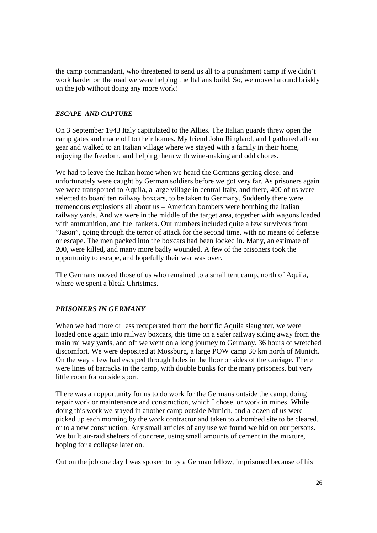the camp commandant, who threatened to send us all to a punishment camp if we didn't work harder on the road we were helping the Italians build. So, we moved around briskly on the job without doing any more work!

#### *ESCAPE AND CAPTURE*

On 3 September 1943 Italy capitulated to the Allies. The Italian guards threw open the camp gates and made off to their homes. My friend John Ringland, and I gathered all our gear and walked to an Italian village where we stayed with a family in their home, enjoying the freedom, and helping them with wine-making and odd chores.

We had to leave the Italian home when we heard the Germans getting close, and unfortunately were caught by German soldiers before we got very far. As prisoners again we were transported to Aquila, a large village in central Italy, and there, 400 of us were selected to board ten railway boxcars, to be taken to Germany. Suddenly there were tremendous explosions all about us – American bombers were bombing the Italian railway yards. And we were in the middle of the target area, together with wagons loaded with ammunition, and fuel tankers. Our numbers included quite a few survivors from "Jason", going through the terror of attack for the second time, with no means of defense or escape. The men packed into the boxcars had been locked in. Many, an estimate of 200, were killed, and many more badly wounded. A few of the prisoners took the opportunity to escape, and hopefully their war was over.

The Germans moved those of us who remained to a small tent camp, north of Aquila, where we spent a bleak Christmas.

#### *PRISONERS IN GERMANY*

When we had more or less recuperated from the horrific Aquila slaughter, we were loaded once again into railway boxcars, this time on a safer railway siding away from the main railway yards, and off we went on a long journey to Germany. 36 hours of wretched discomfort. We were deposited at Mossburg, a large POW camp 30 km north of Munich. On the way a few had escaped through holes in the floor or sides of the carriage. There were lines of barracks in the camp, with double bunks for the many prisoners, but very little room for outside sport.

There was an opportunity for us to do work for the Germans outside the camp, doing repair work or maintenance and construction, which I chose, or work in mines. While doing this work we stayed in another camp outside Munich, and a dozen of us were picked up each morning by the work contractor and taken to a bombed site to be cleared, or to a new construction. Any small articles of any use we found we hid on our persons. We built air-raid shelters of concrete, using small amounts of cement in the mixture, hoping for a collapse later on.

Out on the job one day I was spoken to by a German fellow, imprisoned because of his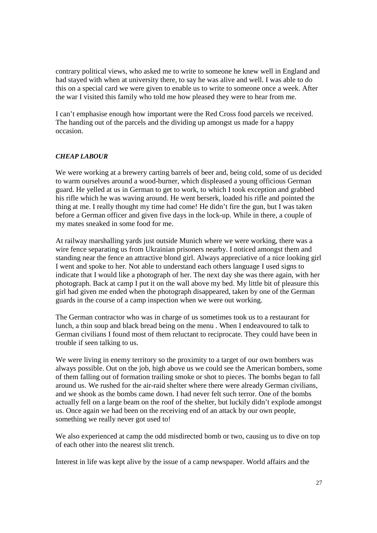contrary political views, who asked me to write to someone he knew well in England and had stayed with when at university there, to say he was alive and well. I was able to do this on a special card we were given to enable us to write to someone once a week. After the war I visited this family who told me how pleased they were to hear from me.

I can't emphasise enough how important were the Red Cross food parcels we received. The handing out of the parcels and the dividing up amongst us made for a happy occasion.

#### *CHEAP LABOUR*

We were working at a brewery carting barrels of beer and, being cold, some of us decided to warm ourselves around a wood-burner, which displeased a young officious German guard. He yelled at us in German to get to work, to which I took exception and grabbed his rifle which he was waving around. He went berserk, loaded his rifle and pointed the thing at me. I really thought my time had come! He didn't fire the gun, but I was taken before a German officer and given five days in the lock-up. While in there, a couple of my mates sneaked in some food for me.

At railway marshalling yards just outside Munich where we were working, there was a wire fence separating us from Ukrainian prisoners nearby. I noticed amongst them and standing near the fence an attractive blond girl. Always appreciative of a nice looking girl I went and spoke to her. Not able to understand each others language I used signs to indicate that I would like a photograph of her. The next day she was there again, with her photograph. Back at camp I put it on the wall above my bed. My little bit of pleasure this girl had given me ended when the photograph disappeared, taken by one of the German guards in the course of a camp inspection when we were out working.

The German contractor who was in charge of us sometimes took us to a restaurant for lunch, a thin soup and black bread being on the menu . When I endeavoured to talk to German civilians I found most of them reluctant to reciprocate. They could have been in trouble if seen talking to us.

We were living in enemy territory so the proximity to a target of our own bombers was always possible. Out on the job, high above us we could see the American bombers, some of them falling out of formation trailing smoke or shot to pieces. The bombs began to fall around us. We rushed for the air-raid shelter where there were already German civilians, and we shook as the bombs came down. I had never felt such terror. One of the bombs actually fell on a large beam on the roof of the shelter, but luckily didn't explode amongst us. Once again we had been on the receiving end of an attack by our own people, something we really never got used to!

We also experienced at camp the odd misdirected bomb or two, causing us to dive on top of each other into the nearest slit trench.

Interest in life was kept alive by the issue of a camp newspaper. World affairs and the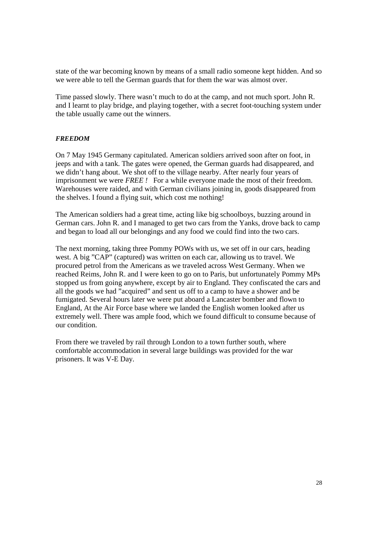state of the war becoming known by means of a small radio someone kept hidden. And so we were able to tell the German guards that for them the war was almost over.

Time passed slowly. There wasn't much to do at the camp, and not much sport. John R. and I learnt to play bridge, and playing together, with a secret foot-touching system under the table usually came out the winners.

#### *FREEDOM*

On 7 May 1945 Germany capitulated. American soldiers arrived soon after on foot, in jeeps and with a tank. The gates were opened, the German guards had disappeared, and we didn't hang about. We shot off to the village nearby. After nearly four years of imprisonment we were *FREE !* For a while everyone made the most of their freedom. Warehouses were raided, and with German civilians joining in, goods disappeared from the shelves. I found a flying suit, which cost me nothing!

The American soldiers had a great time, acting like big schoolboys, buzzing around in German cars. John R. and I managed to get two cars from the Yanks, drove back to camp and began to load all our belongings and any food we could find into the two cars.

The next morning, taking three Pommy POWs with us, we set off in our cars, heading west. A big "CAP" (captured) was written on each car, allowing us to travel. We procured petrol from the Americans as we traveled across West Germany. When we reached Reims, John R. and I were keen to go on to Paris, but unfortunately Pommy MPs stopped us from going anywhere, except by air to England. They confiscated the cars and all the goods we had "acquired" and sent us off to a camp to have a shower and be fumigated. Several hours later we were put aboard a Lancaster bomber and flown to England, At the Air Force base where we landed the English women looked after us extremely well. There was ample food, which we found difficult to consume because of our condition.

From there we traveled by rail through London to a town further south, where comfortable accommodation in several large buildings was provided for the war prisoners. It was V-E Day.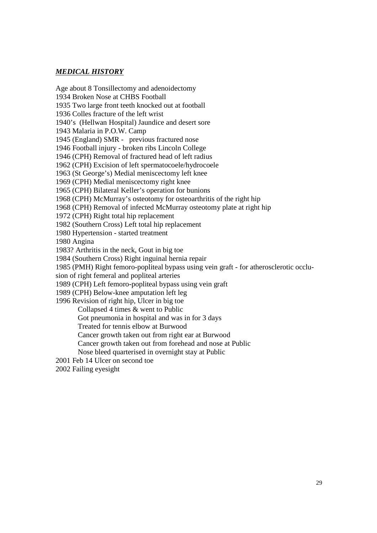# *MEDICAL HISTORY*

Age about 8 Tonsillectomy and adenoidectomy 1934 Broken Nose at CHBS Football 1935 Two large front teeth knocked out at football 1936 Colles fracture of the left wrist 1940's (Hellwan Hospital) Jaundice and desert sore 1943 Malaria in P.O.W. Camp 1945 (England) SMR - previous fractured nose 1946 Football injury - broken ribs Lincoln College 1946 (CPH) Removal of fractured head of left radius 1962 (CPH) Excision of left spermatocoele/hydrocoele 1963 (St George's) Medial meniscectomy left knee 1969 (CPH) Medial meniscectomy right knee 1965 (CPH) Bilateral Keller's operation for bunions 1968 (CPH) McMurray's osteotomy for osteoarthritis of the right hip 1968 (CPH) Removal of infected McMurray osteotomy plate at right hip 1972 (CPH) Right total hip replacement 1982 (Southern Cross) Left total hip replacement 1980 Hypertension - started treatment 1980 Angina 1983? Arthritis in the neck, Gout in big toe 1984 (Southern Cross) Right inguinal hernia repair 1985 (PMH) Right femoro-popliteal bypass using vein graft - for atherosclerotic occlusion of right femeral and popliteal arteries 1989 (CPH) Left femoro-popliteal bypass using vein graft 1989 (CPH) Below-knee amputation left leg 1996 Revision of right hip, Ulcer in big toe Collapsed 4 times & went to Public Got pneumonia in hospital and was in for 3 days Treated for tennis elbow at Burwood Cancer growth taken out from right ear at Burwood Cancer growth taken out from forehead and nose at Public Nose bleed quarterised in overnight stay at Public 2001 Feb 14 Ulcer on second toe 2002 Failing eyesight